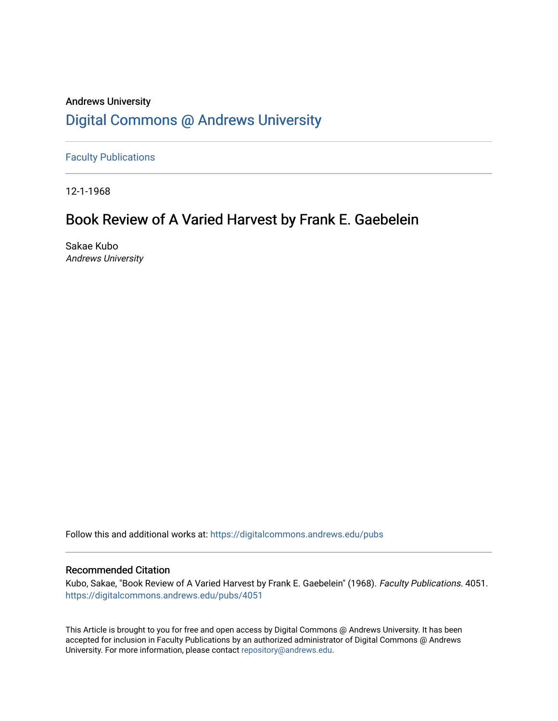## Andrews University [Digital Commons @ Andrews University](https://digitalcommons.andrews.edu/)

[Faculty Publications](https://digitalcommons.andrews.edu/pubs)

12-1-1968

# Book Review of A Varied Harvest by Frank E. Gaebelein

Sakae Kubo Andrews University

Follow this and additional works at: [https://digitalcommons.andrews.edu/pubs](https://digitalcommons.andrews.edu/pubs?utm_source=digitalcommons.andrews.edu%2Fpubs%2F4051&utm_medium=PDF&utm_campaign=PDFCoverPages) 

### Recommended Citation

Kubo, Sakae, "Book Review of A Varied Harvest by Frank E. Gaebelein" (1968). Faculty Publications. 4051. [https://digitalcommons.andrews.edu/pubs/4051](https://digitalcommons.andrews.edu/pubs/4051?utm_source=digitalcommons.andrews.edu%2Fpubs%2F4051&utm_medium=PDF&utm_campaign=PDFCoverPages) 

This Article is brought to you for free and open access by Digital Commons @ Andrews University. It has been accepted for inclusion in Faculty Publications by an authorized administrator of Digital Commons @ Andrews University. For more information, please contact [repository@andrews.edu](mailto:repository@andrews.edu).